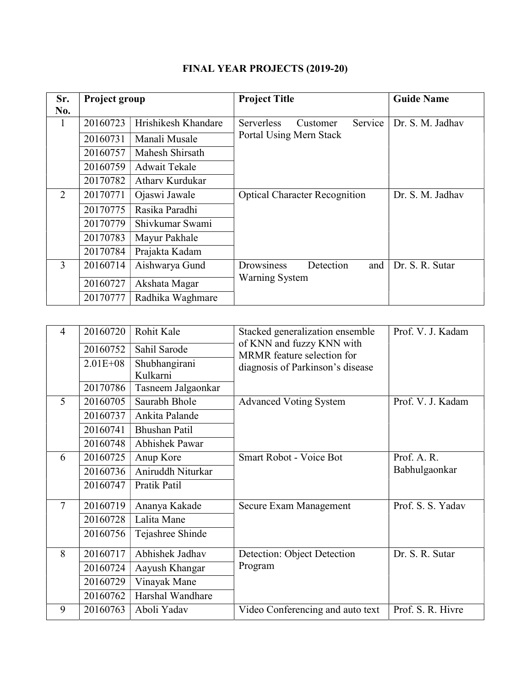| Sr.<br>No.     | Project group |                      | <b>Project Title</b>                 | <b>Guide Name</b> |
|----------------|---------------|----------------------|--------------------------------------|-------------------|
| 1              | 20160723      | Hrishikesh Khandare  | Service<br>Serverless<br>Customer    | Dr. S. M. Jadhav  |
|                | 20160731      | Manali Musale        | Portal Using Mern Stack              |                   |
|                | 20160757      | Mahesh Shirsath      |                                      |                   |
|                | 20160759      | <b>Adwait Tekale</b> |                                      |                   |
|                | 20170782      | Athary Kurdukar      |                                      |                   |
| $\overline{2}$ | 20170771      | Ojaswi Jawale        | <b>Optical Character Recognition</b> | Dr. S. M. Jadhav  |
|                | 20170775      | Rasika Paradhi       |                                      |                   |
|                | 20170779      | Shivkumar Swami      |                                      |                   |
|                | 20170783      | Mayur Pakhale        |                                      |                   |
|                | 20170784      | Prajakta Kadam       |                                      |                   |
| 3              | 20160714      | Aishwarya Gund       | Detection<br>and<br>Drowsiness       | Dr. S. R. Sutar   |
|                | 20160727      | Akshata Magar        | <b>Warning System</b>                |                   |
|                | 20170777      | Radhika Waghmare     |                                      |                   |

## FINAL YEAR PROJECTS (2019-20)

| $\overline{4}$ | 20160720     | Rohit Kale            | Stacked generalization ensemble                         | Prof. V. J. Kadam |
|----------------|--------------|-----------------------|---------------------------------------------------------|-------------------|
|                | 20160752     | Sahil Sarode          | of KNN and fuzzy KNN with<br>MRMR feature selection for |                   |
|                | $2.01E + 08$ | Shubhangirani         | diagnosis of Parkinson's disease                        |                   |
|                |              | Kulkarni              |                                                         |                   |
|                | 20170786     | Tasneem Jalgaonkar    |                                                         |                   |
| 5              | 20160705     | Saurabh Bhole         | <b>Advanced Voting System</b>                           | Prof. V. J. Kadam |
|                | 20160737     | Ankita Palande        |                                                         |                   |
|                | 20160741     | <b>Bhushan Patil</b>  |                                                         |                   |
|                | 20160748     | <b>Abhishek Pawar</b> |                                                         |                   |
| 6              | 20160725     | Anup Kore             | Smart Robot - Voice Bot                                 | Prof. A.R.        |
|                | 20160736     | Aniruddh Niturkar     |                                                         | Babhulgaonkar     |
|                | 20160747     | Pratik Patil          |                                                         |                   |
| $\overline{7}$ | 20160719     | Ananya Kakade         | Secure Exam Management                                  | Prof. S. S. Yadav |
|                | 20160728     | Lalita Mane           |                                                         |                   |
|                | 20160756     | Tejashree Shinde      |                                                         |                   |
| 8              | 20160717     | Abhishek Jadhav       | Detection: Object Detection                             | Dr. S. R. Sutar   |
|                | 20160724     | Aayush Khangar        | Program                                                 |                   |
|                | 20160729     | Vinayak Mane          |                                                         |                   |
|                | 20160762     | Harshal Wandhare      |                                                         |                   |
| 9              | 20160763     | Aboli Yadav           | Video Conferencing and auto text                        | Prof. S. R. Hivre |